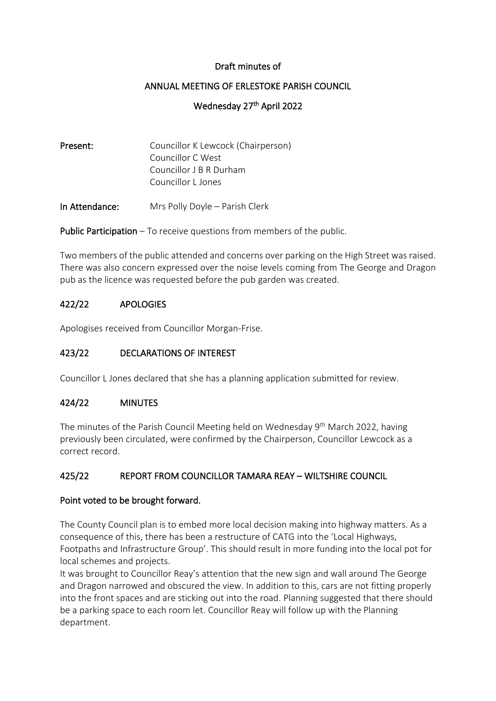## Draft minutes of

### ANNUAL MEETING OF ERLESTOKE PARISH COUNCIL

## Wednesday 27<sup>th</sup> April 2022

| Present: | Councillor K Lewcock (Chairperson) |
|----------|------------------------------------|
|          | Councillor C West                  |
|          | Councillor J B R Durham            |
|          | Councillor L Jones                 |
|          |                                    |

In Attendance: Mrs Polly Doyle – Parish Clerk

**Public Participation** – To receive questions from members of the public.

Two members of the public attended and concerns over parking on the High Street was raised. There was also concern expressed over the noise levels coming from The George and Dragon pub as the licence was requested before the pub garden was created.

#### 422/22 APOLOGIES

Apologises received from Councillor Morgan-Frise.

## 423/22 DECLARATIONS OF INTEREST

Councillor L Jones declared that she has a planning application submitted for review.

#### 424/22 MINUTES

The minutes of the Parish Council Meeting held on Wednesday 9<sup>th</sup> March 2022, having previously been circulated, were confirmed by the Chairperson, Councillor Lewcock as a correct record.

# 425/22 REPORT FROM COUNCILLOR TAMARA REAY – WILTSHIRE COUNCIL

#### Point voted to be brought forward.

The County Council plan is to embed more local decision making into highway matters. As a consequence of this, there has been a restructure of CATG into the 'Local Highways, Footpaths and Infrastructure Group'. This should result in more funding into the local pot for local schemes and projects.

It was brought to Councillor Reay's attention that the new sign and wall around The George and Dragon narrowed and obscured the view. In addition to this, cars are not fitting properly into the front spaces and are sticking out into the road. Planning suggested that there should be a parking space to each room let. Councillor Reay will follow up with the Planning department.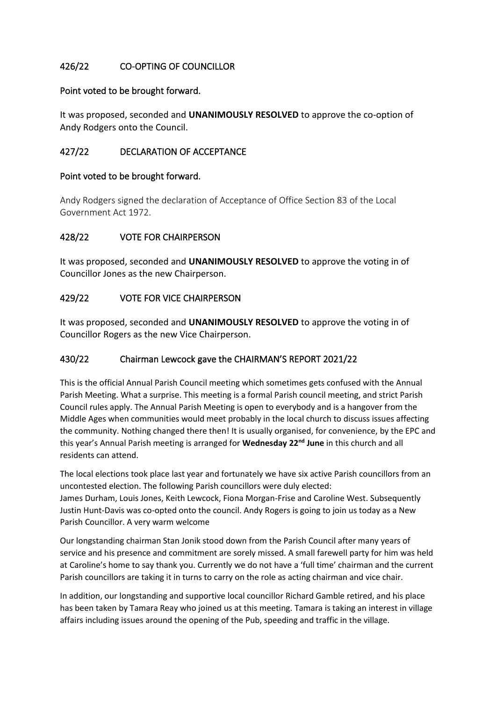# 426/22 CO-OPTING OF COUNCILLOR

### Point voted to be brought forward.

It was proposed, seconded and **UNANIMOUSLY RESOLVED** to approve the co-option of Andy Rodgers onto the Council.

# 427/22 DECLARATION OF ACCEPTANCE

### Point voted to be brought forward.

Andy Rodgers signed the declaration of Acceptance of Office Section 83 of the Local Government Act 1972.

# 428/22 VOTE FOR CHAIRPERSON

It was proposed, seconded and **UNANIMOUSLY RESOLVED** to approve the voting in of Councillor Jones as the new Chairperson.

## 429/22 VOTE FOR VICE CHAIRPERSON

It was proposed, seconded and **UNANIMOUSLY RESOLVED** to approve the voting in of Councillor Rogers as the new Vice Chairperson.

# 430/22 Chairman Lewcock gave the CHAIRMAN'S REPORT 2021/22

This is the official Annual Parish Council meeting which sometimes gets confused with the Annual Parish Meeting. What a surprise. This meeting is a formal Parish council meeting, and strict Parish Council rules apply. The Annual Parish Meeting is open to everybody and is a hangover from the Middle Ages when communities would meet probably in the local church to discuss issues affecting the community. Nothing changed there then! It is usually organised, for convenience, by the EPC and this year's Annual Parish meeting is arranged for **Wednesday 22nd June** in this church and all residents can attend.

The local elections took place last year and fortunately we have six active Parish councillors from an uncontested election. The following Parish councillors were duly elected: James Durham, Louis Jones, Keith Lewcock, Fiona Morgan-Frise and Caroline West. Subsequently Justin Hunt-Davis was co-opted onto the council. Andy Rogers is going to join us today as a New Parish Councillor. A very warm welcome

Our longstanding chairman Stan Jonik stood down from the Parish Council after many years of service and his presence and commitment are sorely missed. A small farewell party for him was held at Caroline's home to say thank you. Currently we do not have a 'full time' chairman and the current Parish councillors are taking it in turns to carry on the role as acting chairman and vice chair.

In addition, our longstanding and supportive local councillor Richard Gamble retired, and his place has been taken by Tamara Reay who joined us at this meeting. Tamara is taking an interest in village affairs including issues around the opening of the Pub, speeding and traffic in the village.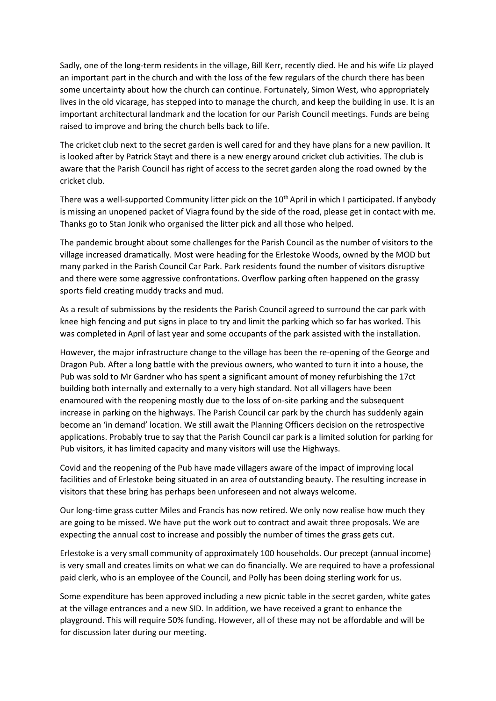Sadly, one of the long-term residents in the village, Bill Kerr, recently died. He and his wife Liz played an important part in the church and with the loss of the few regulars of the church there has been some uncertainty about how the church can continue. Fortunately, Simon West, who appropriately lives in the old vicarage, has stepped into to manage the church, and keep the building in use. It is an important architectural landmark and the location for our Parish Council meetings. Funds are being raised to improve and bring the church bells back to life.

The cricket club next to the secret garden is well cared for and they have plans for a new pavilion. It is looked after by Patrick Stayt and there is a new energy around cricket club activities. The club is aware that the Parish Council has right of access to the secret garden along the road owned by the cricket club.

There was a well-supported Community litter pick on the 10<sup>th</sup> April in which I participated. If anybody is missing an unopened packet of Viagra found by the side of the road, please get in contact with me. Thanks go to Stan Jonik who organised the litter pick and all those who helped.

The pandemic brought about some challenges for the Parish Council as the number of visitors to the village increased dramatically. Most were heading for the Erlestoke Woods, owned by the MOD but many parked in the Parish Council Car Park. Park residents found the number of visitors disruptive and there were some aggressive confrontations. Overflow parking often happened on the grassy sports field creating muddy tracks and mud.

As a result of submissions by the residents the Parish Council agreed to surround the car park with knee high fencing and put signs in place to try and limit the parking which so far has worked. This was completed in April of last year and some occupants of the park assisted with the installation.

However, the major infrastructure change to the village has been the re-opening of the George and Dragon Pub. After a long battle with the previous owners, who wanted to turn it into a house, the Pub was sold to Mr Gardner who has spent a significant amount of money refurbishing the 17ct building both internally and externally to a very high standard. Not all villagers have been enamoured with the reopening mostly due to the loss of on-site parking and the subsequent increase in parking on the highways. The Parish Council car park by the church has suddenly again become an 'in demand' location. We still await the Planning Officers decision on the retrospective applications. Probably true to say that the Parish Council car park is a limited solution for parking for Pub visitors, it has limited capacity and many visitors will use the Highways.

Covid and the reopening of the Pub have made villagers aware of the impact of improving local facilities and of Erlestoke being situated in an area of outstanding beauty. The resulting increase in visitors that these bring has perhaps been unforeseen and not always welcome.

Our long-time grass cutter Miles and Francis has now retired. We only now realise how much they are going to be missed. We have put the work out to contract and await three proposals. We are expecting the annual cost to increase and possibly the number of times the grass gets cut.

Erlestoke is a very small community of approximately 100 households. Our precept (annual income) is very small and creates limits on what we can do financially. We are required to have a professional paid clerk, who is an employee of the Council, and Polly has been doing sterling work for us.

Some expenditure has been approved including a new picnic table in the secret garden, white gates at the village entrances and a new SID. In addition, we have received a grant to enhance the playground. This will require 50% funding. However, all of these may not be affordable and will be for discussion later during our meeting.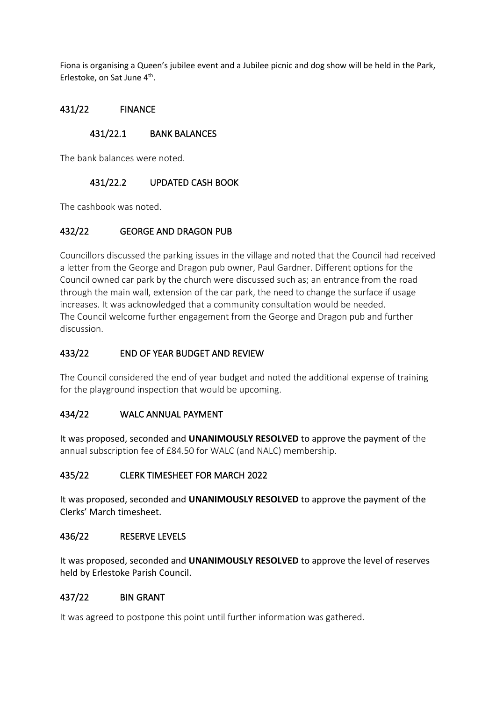Fiona is organising a Queen's jubilee event and a Jubilee picnic and dog show will be held in the Park, Erlestoke, on Sat June 4<sup>th</sup>.

## 431/22 FINANCE

## 431/22.1 BANK BALANCES

The bank balances were noted.

# 431/22.2 UPDATED CASH BOOK

The cashbook was noted.

## 432/22 GEORGE AND DRAGON PUB

Councillors discussed the parking issues in the village and noted that the Council had received a letter from the George and Dragon pub owner, Paul Gardner. Different options for the Council owned car park by the church were discussed such as; an entrance from the road through the main wall, extension of the car park, the need to change the surface if usage increases. It was acknowledged that a community consultation would be needed. The Council welcome further engagement from the George and Dragon pub and further discussion.

### 433/22 END OF YEAR BUDGET AND REVIEW

The Council considered the end of year budget and noted the additional expense of training for the playground inspection that would be upcoming.

#### 434/22 WALC ANNUAL PAYMENT

It was proposed, seconded and **UNANIMOUSLY RESOLVED** to approve the payment of the annual subscription fee of £84.50 for WALC (and NALC) membership.

#### 435/22 CLERK TIMESHEET FOR MARCH 2022

It was proposed, seconded and **UNANIMOUSLY RESOLVED** to approve the payment of the Clerks' March timesheet.

#### 436/22 RESERVE LEVELS

It was proposed, seconded and **UNANIMOUSLY RESOLVED** to approve the level of reserves held by Erlestoke Parish Council.

#### 437/22 BIN GRANT

It was agreed to postpone this point until further information was gathered.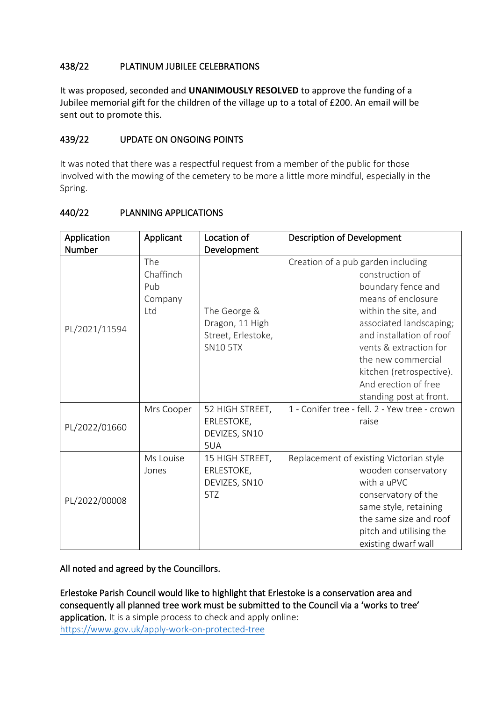# 438/22 PLATINUM JUBILEE CELEBRATIONS

It was proposed, seconded and **UNANIMOUSLY RESOLVED** to approve the funding of a Jubilee memorial gift for the children of the village up to a total of £200. An email will be sent out to promote this.

## 439/22 UPDATE ON ONGOING POINTS

It was noted that there was a respectful request from a member of the public for those involved with the mowing of the cemetery to be more a little more mindful, especially in the Spring.

| Application   | Applicant                                 | Location of                                                              | <b>Description of Development</b>                                                                                                                                                                                                                                                                               |
|---------------|-------------------------------------------|--------------------------------------------------------------------------|-----------------------------------------------------------------------------------------------------------------------------------------------------------------------------------------------------------------------------------------------------------------------------------------------------------------|
| Number        |                                           | Development                                                              |                                                                                                                                                                                                                                                                                                                 |
| PL/2021/11594 | The<br>Chaffinch<br>Pub<br>Company<br>Ltd | The George &<br>Dragon, 11 High<br>Street, Erlestoke,<br><b>SN10 5TX</b> | Creation of a pub garden including<br>construction of<br>boundary fence and<br>means of enclosure<br>within the site, and<br>associated landscaping;<br>and installation of roof<br>vents & extraction for<br>the new commercial<br>kitchen (retrospective).<br>And erection of free<br>standing post at front. |
| PL/2022/01660 | Mrs Cooper                                | 52 HIGH STREET,<br>ERLESTOKE,<br>DEVIZES, SN10<br>5UA                    | 1 - Conifer tree - fell. 2 - Yew tree - crown<br>raise                                                                                                                                                                                                                                                          |
| PL/2022/00008 | Ms Louise<br>Jones                        | 15 HIGH STREET,<br>ERLESTOKE,<br>DEVIZES, SN10<br>5TZ                    | Replacement of existing Victorian style<br>wooden conservatory<br>with a uPVC<br>conservatory of the<br>same style, retaining<br>the same size and roof<br>pitch and utilising the<br>existing dwarf wall                                                                                                       |

## 440/22 PLANNING APPLICATIONS

All noted and agreed by the Councillors.

Erlestoke Parish Council would like to highlight that Erlestoke is a conservation area and consequently all planned tree work must be submitted to the Council via a 'works to tree' application. It is a simple process to check and apply online: <https://www.gov.uk/apply-work-on-protected-tree>